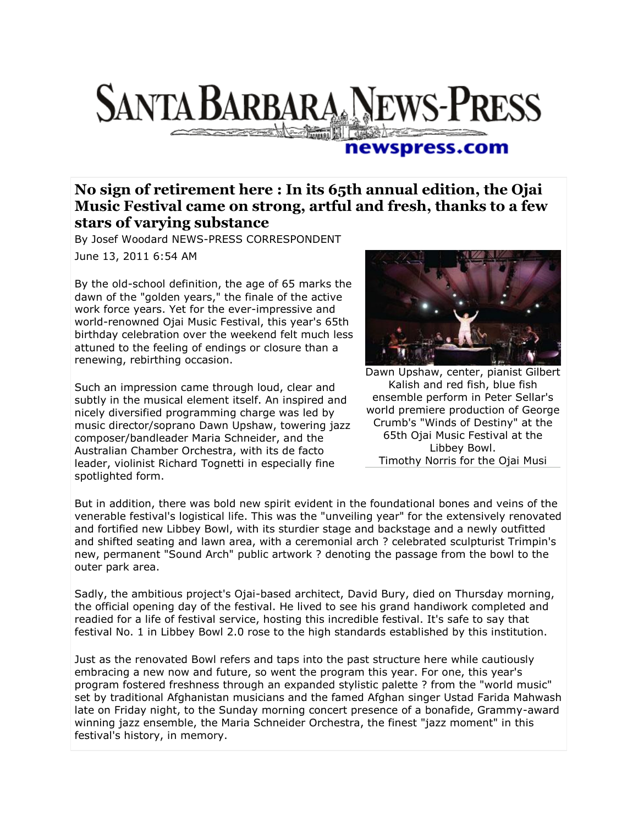## **SANTA BARBARA NEWS-PRESS The Communication**

## newspress.com

## **No sign of retirement here : In its 65th annual edition, the Ojai Music Festival came on strong, artful and fresh, thanks to a few stars of varying substance**

By Josef Woodard NEWS-PRESS CORRESPONDENT

June 13, 2011 6:54 AM

By the old-school definition, the age of 65 marks the dawn of the "golden years," the finale of the active work force years. Yet for the ever-impressive and world-renowned Ojai Music Festival, this year's 65th birthday celebration over the weekend felt much less attuned to the feeling of endings or closure than a renewing, rebirthing occasion.

Such an impression came through loud, clear and subtly in the musical element itself. An inspired and nicely diversified programming charge was led by music director/soprano Dawn Upshaw, towering jazz composer/bandleader Maria Schneider, and the Australian Chamber Orchestra, with its de facto leader, violinist Richard Tognetti in especially fine spotlighted form.



Dawn Upshaw, center, pianist Gilbert Kalish and red fish, blue fish ensemble perform in Peter Sellar's world premiere production of George Crumb's "Winds of Destiny" at the 65th Ojai Music Festival at the Libbey Bowl. Timothy Norris for the Ojai Musi

But in addition, there was bold new spirit evident in the foundational bones and veins of the venerable festival's logistical life. This was the "unveiling year" for the extensively renovated and fortified new Libbey Bowl, with its sturdier stage and backstage and a newly outfitted and shifted seating and lawn area, with a ceremonial arch ? celebrated sculpturist Trimpin's new, permanent "Sound Arch" public artwork ? denoting the passage from the bowl to the outer park area.

Sadly, the ambitious project's Ojai-based architect, David Bury, died on Thursday morning, the official opening day of the festival. He lived to see his grand handiwork completed and readied for a life of festival service, hosting this incredible festival. It's safe to say that festival No. 1 in Libbey Bowl 2.0 rose to the high standards established by this institution.

Just as the renovated Bowl refers and taps into the past structure here while cautiously embracing a new now and future, so went the program this year. For one, this year's program fostered freshness through an expanded stylistic palette ? from the "world music" set by traditional Afghanistan musicians and the famed Afghan singer Ustad Farida Mahwash late on Friday night, to the Sunday morning concert presence of a bonafide, Grammy-award winning jazz ensemble, the Maria Schneider Orchestra, the finest "jazz moment" in this festival's history, in memory.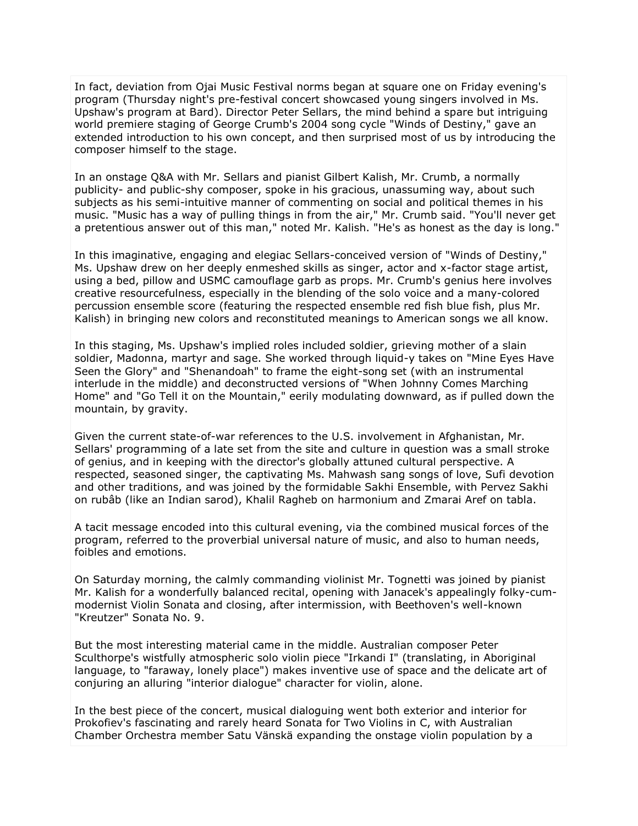In fact, deviation from Ojai Music Festival norms began at square one on Friday evening's program (Thursday night's pre-festival concert showcased young singers involved in Ms. Upshaw's program at Bard). Director Peter Sellars, the mind behind a spare but intriguing world premiere staging of George Crumb's 2004 song cycle "Winds of Destiny," gave an extended introduction to his own concept, and then surprised most of us by introducing the composer himself to the stage.

In an onstage Q&A with Mr. Sellars and pianist Gilbert Kalish, Mr. Crumb, a normally publicity- and public-shy composer, spoke in his gracious, unassuming way, about such subjects as his semi-intuitive manner of commenting on social and political themes in his music. "Music has a way of pulling things in from the air," Mr. Crumb said. "You'll never get a pretentious answer out of this man," noted Mr. Kalish. "He's as honest as the day is long."

In this imaginative, engaging and elegiac Sellars-conceived version of "Winds of Destiny," Ms. Upshaw drew on her deeply enmeshed skills as singer, actor and x-factor stage artist, using a bed, pillow and USMC camouflage garb as props. Mr. Crumb's genius here involves creative resourcefulness, especially in the blending of the solo voice and a many-colored percussion ensemble score (featuring the respected ensemble red fish blue fish, plus Mr. Kalish) in bringing new colors and reconstituted meanings to American songs we all know.

In this staging, Ms. Upshaw's implied roles included soldier, grieving mother of a slain soldier, Madonna, martyr and sage. She worked through liquid-y takes on "Mine Eyes Have Seen the Glory" and "Shenandoah" to frame the eight-song set (with an instrumental interlude in the middle) and deconstructed versions of "When Johnny Comes Marching Home" and "Go Tell it on the Mountain," eerily modulating downward, as if pulled down the mountain, by gravity.

Given the current state-of-war references to the U.S. involvement in Afghanistan, Mr. Sellars' programming of a late set from the site and culture in question was a small stroke of genius, and in keeping with the director's globally attuned cultural perspective. A respected, seasoned singer, the captivating Ms. Mahwash sang songs of love, Sufi devotion and other traditions, and was joined by the formidable Sakhi Ensemble, with Pervez Sakhi on rubâb (like an Indian sarod), Khalil Ragheb on harmonium and Zmarai Aref on tabla.

A tacit message encoded into this cultural evening, via the combined musical forces of the program, referred to the proverbial universal nature of music, and also to human needs, foibles and emotions.

On Saturday morning, the calmly commanding violinist Mr. Tognetti was joined by pianist Mr. Kalish for a wonderfully balanced recital, opening with Janacek's appealingly folky-cummodernist Violin Sonata and closing, after intermission, with Beethoven's well-known "Kreutzer" Sonata No. 9.

But the most interesting material came in the middle. Australian composer Peter Sculthorpe's wistfully atmospheric solo violin piece "Irkandi I" (translating, in Aboriginal language, to "faraway, lonely place") makes inventive use of space and the delicate art of conjuring an alluring "interior dialogue" character for violin, alone.

In the best piece of the concert, musical dialoguing went both exterior and interior for Prokofiev's fascinating and rarely heard Sonata for Two Violins in C, with Australian Chamber Orchestra member Satu Vänskä expanding the onstage violin population by a